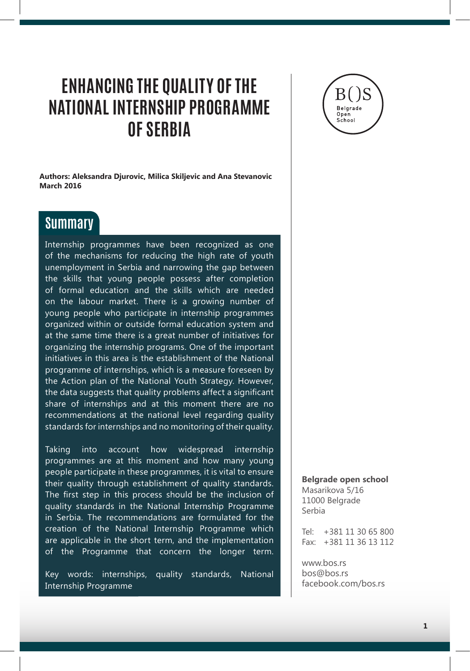## **ENHANCING THE QUALITY OF THE NATIONAL INTERNSHIP PROGRAMME OF SERBIA**

**Authors: Aleksandra Djurovic, Milica Skiljevic and Ana Stevanovic March 2016**

## **Summary**

Internship programmes have been recognized as one of the mechanisms for reducing the high rate of youth unemployment in Serbia and narrowing the gap between the skills that young people possess after completion of formal education and the skills which are needed on the labour market. There is a growing number of young people who participate in internship programmes organized within or outside formal education system and at the same time there is a great number of initiatives for organizing the internship programs. One of the important initiatives in this area is the establishment of the National programme of internships, which is a measure foreseen by the Action plan of the National Youth Strategy. However, the data suggests that quality problems affect a significant share of internships and at this moment there are no recommendations at the national level regarding quality standards for internships and no monitoring of their quality.

Taking into account how widespread internship programmes are at this moment and how many young people participate in these programmes, it is vital to ensure their quality through establishment of quality standards. The first step in this process should be the inclusion of quality standards in the National Internship Programme in Serbia. The recommendations are formulated for the creation of the National Internship Programme which are applicable in the short term, and the implementation of the Programme that concern the longer term.

Key words: internships, quality standards, National Internship Programme



**Belgrade open school** Masarikova 5/16 11000 Belgrade Serbia

Tel: +381 11 30 65 800 Fax: +381 11 36 13 112

www.bos.rs bos@bos.rs facebook.com/bos.rs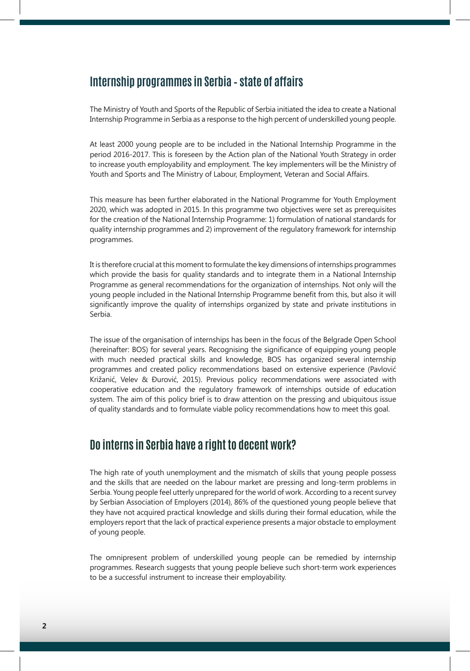### **Internship programmes in Serbia – state of affairs**

The Ministry of Youth and Sports of the Republic of Serbia initiated the idea to create a National Internship Programme in Serbia as a response to the high percent of underskilled young people.

At least 2000 young people are to be included in the National Internship Programme in the period 2016-2017. This is foreseen by the Action plan of the National Youth Strategy in order to increase youth employability and employment. The key implementers will be the Ministry of Youth and Sports and The Ministry of Labour, Employment, Veteran and Social Affairs.

This measure has been further elaborated in the National Programme for Youth Employment 2020, which was adopted in 2015. In this programme two objectives were set as prerequisites for the creation of the National Internship Programme: 1) formulation of national standards for quality internship programmes and 2) improvement of the regulatory framework for internship programmes.

It is therefore crucial at this moment to formulate the key dimensions of internships programmes which provide the basis for quality standards and to integrate them in a National Internship Programme as general recommendations for the organization of internships. Not only will the young people included in the National Internship Programme benefit from this, but also it will significantly improve the quality of internships organized by state and private institutions in Serbia.

The issue of the organisation of internships has been in the focus of the Belgrade Open School (hereinafter: BOS) for several years. Recognising the significance of equipping young people with much needed practical skills and knowledge, BOS has organized several internship programmes and created policy recommendations based on extensive experience (Pavlović Križanić, Velev & Đurović, 2015). Previous policy recommendations were associated with cooperative education and the regulatory framework of internships outside of education system. The aim of this policy brief is to draw attention on the pressing and ubiquitous issue of quality standards and to formulate viable policy recommendations how to meet this goal.

## **Do interns in Serbia have a right to decent work?**

The high rate of youth unemployment and the mismatch of skills that young people possess and the skills that are needed on the labour market are pressing and long-term problems in Serbia. Young people feel utterly unprepared for the world of work. According to a recent survey by Serbian Association of Employers (2014), 86% of the questioned young people believe that they have not acquired practical knowledge and skills during their formal education, while the employers report that the lack of practical experience presents a major obstacle to employment of young people.

The omnipresent problem of underskilled young people can be remedied by internship programmes. Research suggests that young people believe such short-term work experiences to be a successful instrument to increase their employability.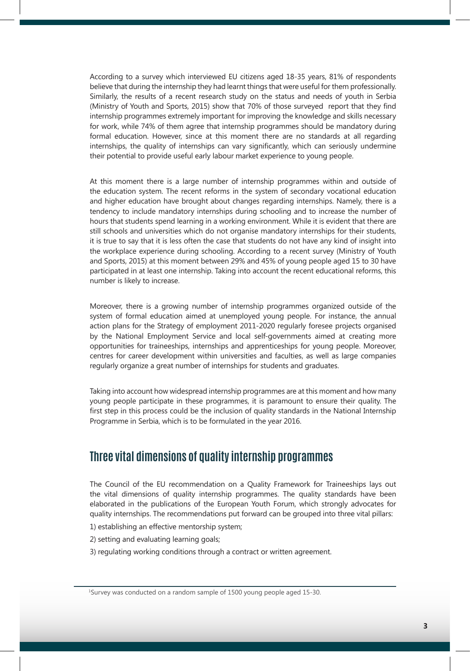According to a survey which interviewed EU citizens aged 18-35 years, 81% of respondents believe that during the internship they had learnt things that were useful for them professionally. Similarly, the results of a recent research study on the status and needs of youth in Serbia (Ministry of Youth and Sports, 2015) show that 70% of those surveyed report that they find internship programmes extremely important for improving the knowledge and skills necessary for work, while 74% of them agree that internship programmes should be mandatory during formal education. However, since at this moment there are no standards at all regarding internships, the quality of internships can vary significantly, which can seriously undermine their potential to provide useful early labour market experience to young people.

At this moment there is a large number of internship programmes within and outside of the education system. The recent reforms in the system of secondary vocational education and higher education have brought about changes regarding internships. Namely, there is a tendency to include mandatory internships during schooling and to increase the number of hours that students spend learning in a working environment. While it is evident that there are still schools and universities which do not organise mandatory internships for their students, it is true to say that it is less often the case that students do not have any kind of insight into the workplace experience during schooling. According to a recent survey (Ministry of Youth and Sports, 2015) at this moment between 29% and 45% of young people aged 15 to 30 have participated in at least one internship. Taking into account the recent educational reforms, this number is likely to increase.

Moreover, there is a growing number of internship programmes organized outside of the system of formal education aimed at unemployed young people. For instance, the annual action plans for the Strategy of employment 2011-2020 regularly foresee projects organised by the National Employment Service and local self-governments aimed at creating more opportunities for traineeships, internships and apprenticeships for young people. Moreover, centres for career development within universities and faculties, as well as large companies regularly organize a great number of internships for students and graduates.

Taking into account how widespread internship programmes are at this moment and how many young people participate in these programmes, it is paramount to ensure their quality. The first step in this process could be the inclusion of quality standards in the National Internship Programme in Serbia, which is to be formulated in the year 2016.

## **Three vital dimensions of quality internship programmes**

The Council of the EU recommendation on a Quality Framework for Traineeships lays out the vital dimensions of quality internship programmes. The quality standards have been elaborated in the publications of the European Youth Forum, which strongly advocates for quality internships. The recommendations put forward can be grouped into three vital pillars:

- 1) establishing an effective mentorship system;
- 2) setting and evaluating learning goals;
- 3) regulating working conditions through a contract or written agreement.

1 Survey was conducted on a random sample of 1500 young people aged 15-30.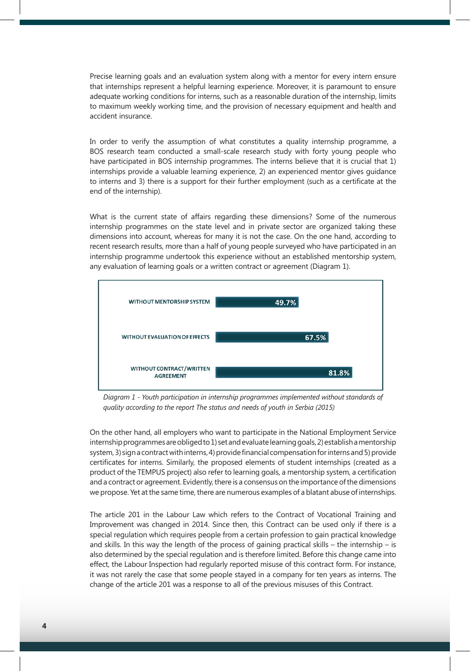Precise learning goals and an evaluation system along with a mentor for every intern ensure that internships represent a helpful learning experience. Moreover, it is paramount to ensure adequate working conditions for interns, such as a reasonable duration of the internship, limits to maximum weekly working time, and the provision of necessary equipment and health and accident insurance.

In order to verify the assumption of what constitutes a quality internship programme, a BOS research team conducted a small-scale research study with forty young people who have participated in BOS internship programmes. The interns believe that it is crucial that 1) internships provide a valuable learning experience, 2) an experienced mentor gives guidance to interns and 3) there is a support for their further employment (such as a certificate at the end of the internship).

What is the current state of affairs regarding these dimensions? Some of the numerous internship programmes on the state level and in private sector are organized taking these dimensions into account, whereas for many it is not the case. On the one hand, according to recent research results, more than a half of young people surveyed who have participated in an internship programme undertook this experience without an established mentorship system, any evaluation of learning goals or a written contract or agreement (Diagram 1).



*Diagram 1 - Youth participation in internship programmes implemented without standards of quality according to the report The status and needs of youth in Serbia (2015)*

On the other hand, all employers who want to participate in the National Employment Service internship programmes are obliged to 1) set and evaluate learning goals, 2) establish a mentorship system, 3) sign a contract with interns, 4) provide financial compensation for interns and 5) provide certificates for interns. Similarly, the proposed elements of student internships (created as a product of the TEMPUS project) also refer to learning goals, a mentorship system, a certification and a contract or agreement. Evidently, there is a consensus on the importance of the dimensions we propose. Yet at the same time, there are numerous examples of a blatant abuse of internships.

The article 201 in the Labour Law which refers to the Contract of Vocational Training and Improvement was changed in 2014. Since then, this Contract can be used only if there is a special regulation which requires people from a certain profession to gain practical knowledge and skills. In this way the length of the process of gaining practical skills – the internship – is also determined by the special regulation and is therefore limited. Before this change came into effect, the Labour Inspection had regularly reported misuse of this contract form. For instance, it was not rarely the case that some people stayed in a company for ten years as interns. The change of the article 201 was a response to all of the previous misuses of this Contract.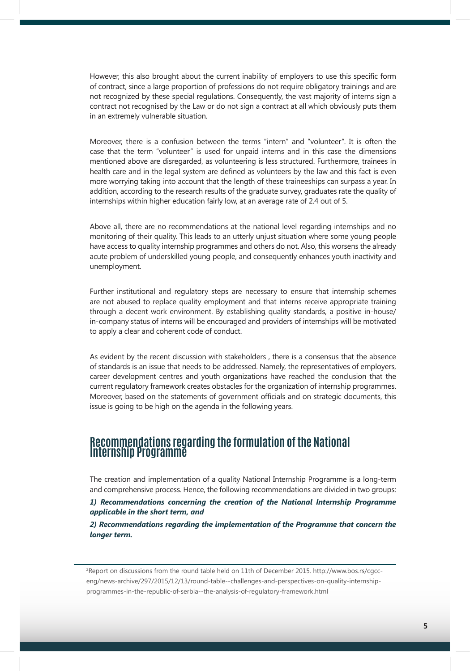However, this also brought about the current inability of employers to use this specific form of contract, since a large proportion of professions do not require obligatory trainings and are not recognized by these special regulations. Consequently, the vast majority of interns sign a contract not recognised by the Law or do not sign a contract at all which obviously puts them in an extremely vulnerable situation.

Moreover, there is a confusion between the terms "intern" and "volunteer". It is often the case that the term "volunteer" is used for unpaid interns and in this case the dimensions mentioned above are disregarded, as volunteering is less structured. Furthermore, trainees in health care and in the legal system are defined as volunteers by the law and this fact is even more worrying taking into account that the length of these traineeships can surpass a year. In addition, according to the research results of the graduate survey, graduates rate the quality of internships within higher education fairly low, at an average rate of 2.4 out of 5.

Above all, there are no recommendations at the national level regarding internships and no monitoring of their quality. This leads to an utterly unjust situation where some young people have access to quality internship programmes and others do not. Also, this worsens the already acute problem of underskilled young people, and consequently enhances youth inactivity and unemployment.

Further institutional and regulatory steps are necessary to ensure that internship schemes are not abused to replace quality employment and that interns receive appropriate training through a decent work environment. By establishing quality standards, a positive in-house/ in-company status of interns will be encouraged and providers of internships will be motivated to apply a clear and coherent code of conduct.

As evident by the recent discussion with stakeholders , there is a consensus that the absence of standards is an issue that needs to be addressed. Namely, the representatives of employers, career development centres and youth organizations have reached the conclusion that the current regulatory framework creates obstacles for the organization of internship programmes. Moreover, based on the statements of government officials and on strategic documents, this issue is going to be high on the agenda in the following years.

# **Recommendations regarding the formulation of the National Internship Programme**

The creation and implementation of a quality National Internship Programme is a long-term and comprehensive process. Hence, the following recommendations are divided in two groups:

*1) Recommendations concerning the creation of the National Internship Programme applicable in the short term, and* 

*2) Recommendations regarding the implementation of the Programme that concern the longer term.*

2 Report on discussions from the round table held on 11th of December 2015. http://www.bos.rs/cgcceng/news-archive/297/2015/12/13/round-table--challenges-and-perspectives-on-quality-internshipprogrammes-in-the-republic-of-serbia--the-analysis-of-regulatory-framework.html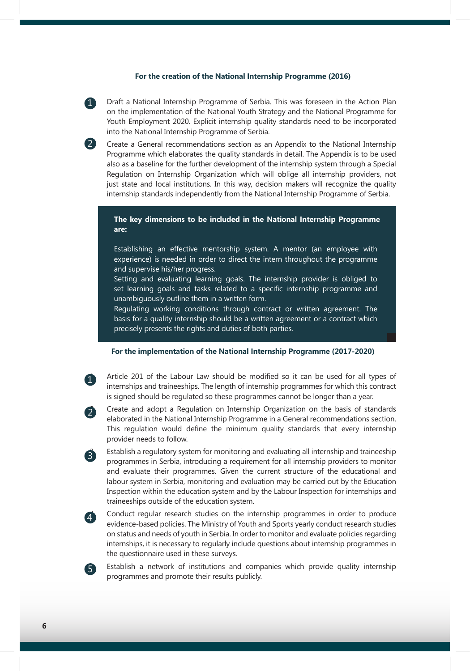#### **For the creation of the National Internship Programme (2016)**

1. Draft a National Internship Programme of Serbia. This was foreseen in the Action Plan on the implementation of the National Youth Strategy and the National Programme for Youth Employment 2020. Explicit internship quality standards need to be incorporated into the National Internship Programme of Serbia.

2. Create a General recommendations section as an Appendix to the National Internship Programme which elaborates the quality standards in detail. The Appendix is to be used also as a baseline for the further development of the internship system through a Special Regulation on Internship Organization which will oblige all internship providers, not just state and local institutions. In this way, decision makers will recognize the quality internship standards independently from the National Internship Programme of Serbia.

#### **The key dimensions to be included in the National Internship Programme are:**

Establishing an effective mentorship system. A mentor (an employee with experience) is needed in order to direct the intern throughout the programme and supervise his/her progress.

Setting and evaluating learning goals. The internship provider is obliged to set learning goals and tasks related to a specific internship programme and unambiguously outline them in a written form.

Regulating working conditions through contract or written agreement. The basis for a quality internship should be a written agreement or a contract which precisely presents the rights and duties of both parties.

#### **For the implementation of the National Internship Programme (2017-2020)**

Article 201 of the Labour Law should be modified so it can be used for all types of internships and traineeships. The length of internship programmes for which this contract is signed should be regulated so these programmes cannot be longer than a year.



 $\left(3\right)$ 

 $\left( 4\right)$ 

5

1

1

2

2. Create and adopt a Regulation on Internship Organization on the basis of standards elaborated in the National Internship Programme in a General recommendations section. This regulation would define the minimum quality standards that every internship provider needs to follow.

Establish a regulatory system for monitoring and evaluating all internship and traineeship programmes in Serbia, introducing a requirement for all internship providers to monitor and evaluate their programmes. Given the current structure of the educational and labour system in Serbia, monitoring and evaluation may be carried out by the Education Inspection within the education system and by the Labour Inspection for internships and traineeships outside of the education system.

Conduct regular research studies on the internship programmes in order to produce evidence-based policies. The Ministry of Youth and Sports yearly conduct research studies on status and needs of youth in Serbia. In order to monitor and evaluate policies regarding internships, it is necessary to regularly include questions about internship programmes in the questionnaire used in these surveys.

Establish a network of institutions and companies which provide quality internship programmes and promote their results publicly.